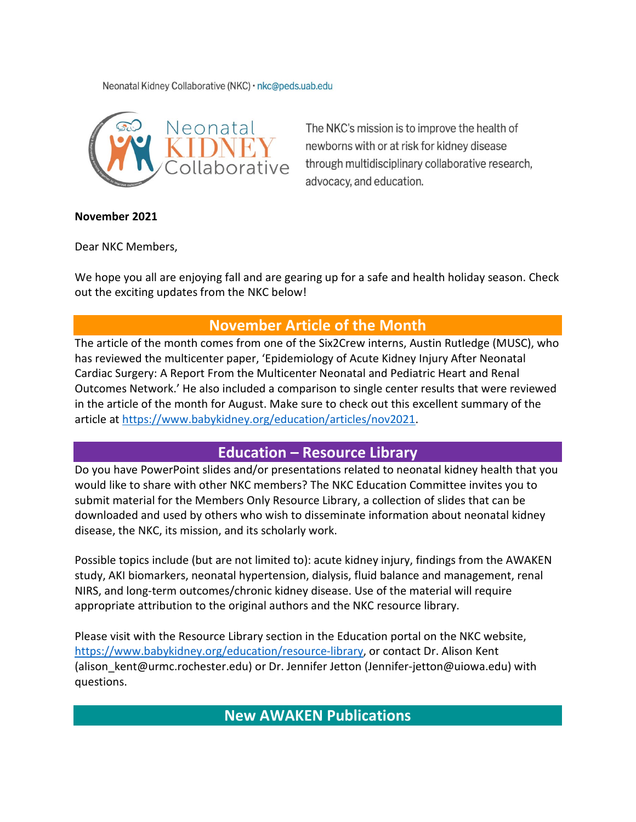Neonatal Kidney Collaborative (NKC) · nkc@peds.uab.edu



The NKC's mission is to improve the health of newborns with or at risk for kidney disease through multidisciplinary collaborative research, advocacy, and education.

#### **November 2021**

Dear NKC Members,

We hope you all are enjoying fall and are gearing up for a safe and health holiday season. Check out the exciting updates from the NKC below!

# **November Article of the Month**

The article of the month comes from one of the Six2Crew interns, Austin Rutledge (MUSC), who has reviewed the multicenter paper, 'Epidemiology of Acute Kidney Injury After Neonatal Cardiac Surgery: A Report From the Multicenter Neonatal and Pediatric Heart and Renal Outcomes Network.' He also included a comparison to single center results that were reviewed in the article of the month for August. Make sure to check out this excellent summary of the article a[t https://www.babykidney.org/education/articles/nov2021.](https://www.babykidney.org/education/articles/nov2021)

## **Education – Resource Library**

Do you have PowerPoint slides and/or presentations related to neonatal kidney health that you would like to share with other NKC members? The NKC Education Committee invites you to submit material for the Members Only Resource Library, a collection of slides that can be downloaded and used by others who wish to disseminate information about neonatal kidney disease, the NKC, its mission, and its scholarly work.

Possible topics include (but are not limited to): acute kidney injury, findings from the AWAKEN study, AKI biomarkers, neonatal hypertension, dialysis, fluid balance and management, renal NIRS, and long-term outcomes/chronic kidney disease. Use of the material will require appropriate attribution to the original authors and the NKC resource library.

Please visit with the Resource Library section in the Education portal on the NKC website, [https://www.babykidney.org/education/resource-library,](https://www.babykidney.org/education/resource-library) or contact Dr. Alison Kent (alison kent@urmc.rochester.edu) or Dr. Jennifer Jetton (Jennifer-jetton@uiowa.edu) with questions.

**New AWAKEN Publications**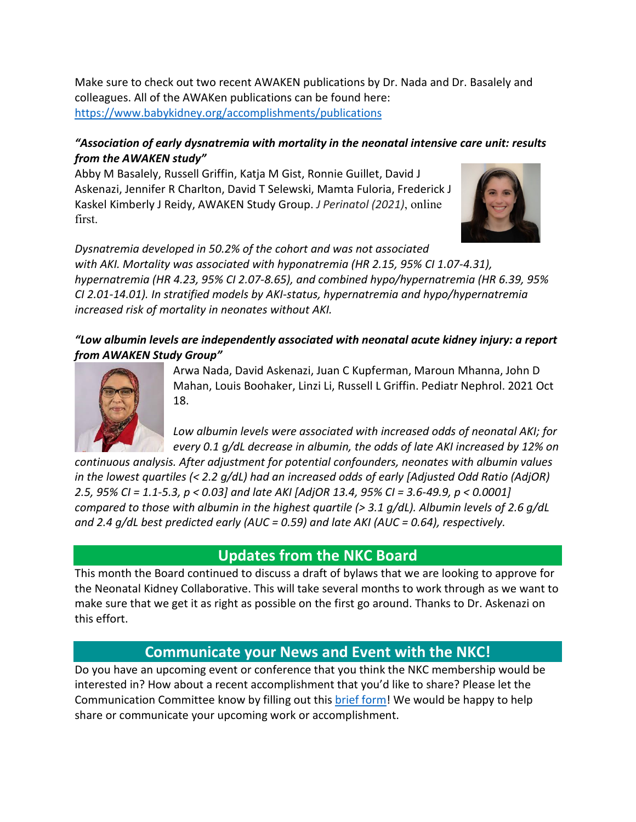Make sure to check out two recent AWAKEN publications by Dr. Nada and Dr. Basalely and colleagues. All of the AWAKen publications can be found here: <https://www.babykidney.org/accomplishments/publications>

### *"Association of early dysnatremia with mortality in the neonatal intensive care unit: results from the AWAKEN study"*

Abby M Basalely, Russell Griffin, Katja M Gist, Ronnie Guillet, David J Askenazi, Jennifer R Charlton, David T Selewski, Mamta Fuloria, Frederick J Kaskel Kimberly J Reidy, AWAKEN Study Group. *J Perinatol (2021)*, online first.



*Dysnatremia developed in 50.2% of the cohort and was not associated with AKI. Mortality was associated with hyponatremia (HR 2.15, 95% CI 1.07-4.31), hypernatremia (HR 4.23, 95% CI 2.07-8.65), and combined hypo/hypernatremia (HR 6.39, 95% CI 2.01-14.01). In stratified models by AKI-status, hypernatremia and hypo/hypernatremia increased risk of mortality in neonates without AKI.*

*"Low albumin levels are independently associated with neonatal acute kidney injury: a report from AWAKEN Study Group"*



Arwa Nada, David Askenazi, Juan C Kupferman, Maroun Mhanna, John D Mahan, Louis Boohaker, Linzi Li, Russell L Griffin. Pediatr Nephrol. 2021 Oct 18.

*Low albumin levels were associated with increased odds of neonatal AKI; for every 0.1 g/dL decrease in albumin, the odds of late AKI increased by 12% on* 

*continuous analysis. After adjustment for potential confounders, neonates with albumin values in the lowest quartiles (< 2.2 g/dL) had an increased odds of early [Adjusted Odd Ratio (AdjOR) 2.5, 95% CI = 1.1-5.3, p < 0.03] and late AKI [AdjOR 13.4, 95% CI = 3.6-49.9, p < 0.0001] compared to those with albumin in the highest quartile (> 3.1 g/dL). Albumin levels of 2.6 g/dL and 2.4 g/dL best predicted early (AUC = 0.59) and late AKI (AUC = 0.64), respectively.*

## **Updates from the NKC Board**

This month the Board continued to discuss a draft of bylaws that we are looking to approve for the Neonatal Kidney Collaborative. This will take several months to work through as we want to make sure that we get it as right as possible on the first go around. Thanks to Dr. Askenazi on this effort.

# **Communicate your News and Event with the NKC!**

Do you have an upcoming event or conference that you think the NKC membership would be interested in? How about a recent accomplishment that you'd like to share? Please let the Communication Committee know by filling out this [brief form!](https://babykidney.org/sites/default/files/nkc/pdfs/2020/NKC%20Communications%20Request.docx) We would be happy to help share or communicate your upcoming work or accomplishment.